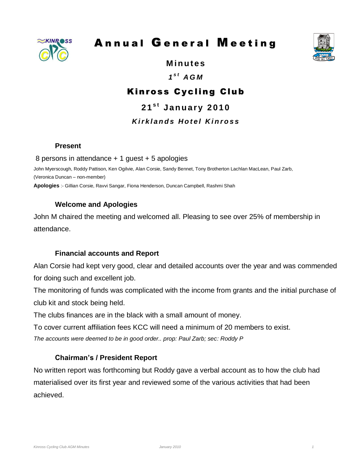

# Annual General Meeting



**M in u te s**

# *1 s t A G M*

# K inross Cycling Club

**2 1 s t J a n u a r y 2010** *K i r k l a n d s H o t e l K i n r o s s*

#### **Present**

8 persons in attendance + 1 guest + 5 apologies

John Myerscough, Roddy Pattison, Ken Ogilvie, Alan Corsie, Sandy Bennet, Tony Brotherton Lachlan MacLean, Paul Zarb, (Veronica Duncan – non-member)

**Apologies** :- Gillian Corsie, Ravvi Sangar, Fiona Henderson, Duncan Campbell, Rashmi Shah

#### **Welcome and Apologies**

John M chaired the meeting and welcomed all. Pleasing to see over 25% of membership in attendance.

#### **Financial accounts and Report**

Alan Corsie had kept very good, clear and detailed accounts over the year and was commended for doing such and excellent job.

The monitoring of funds was complicated with the income from grants and the initial purchase of club kit and stock being held.

The clubs finances are in the black with a small amount of money.

To cover current affiliation fees KCC will need a minimum of 20 members to exist.

*The accounts were deemed to be in good order.. prop: Paul Zarb; sec: Roddy P*

#### **Chairman's / President Report**

No written report was forthcoming but Roddy gave a verbal account as to how the club had materialised over its first year and reviewed some of the various activities that had been achieved.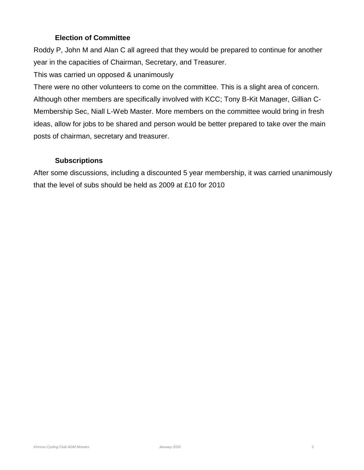#### **Election of Committee**

Roddy P, John M and Alan C all agreed that they would be prepared to continue for another year in the capacities of Chairman, Secretary, and Treasurer.

This was carried un opposed & unanimously

There were no other volunteers to come on the committee. This is a slight area of concern. Although other members are specifically involved with KCC; Tony B-Kit Manager, Gillian C-Membership Sec, Niall L-Web Master. More members on the committee would bring in fresh ideas, allow for jobs to be shared and person would be better prepared to take over the main posts of chairman, secretary and treasurer.

# **Subscriptions**

After some discussions, including a discounted 5 year membership, it was carried unanimously that the level of subs should be held as 2009 at £10 for 2010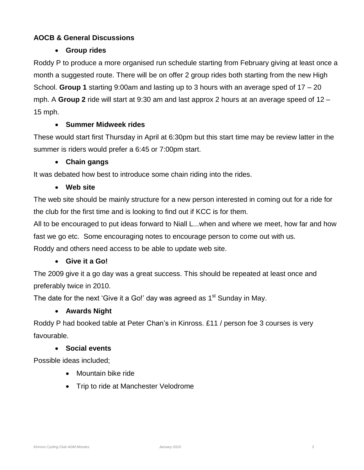# **AOCB & General Discussions**

## **Group rides**

Roddy P to produce a more organised run schedule starting from February giving at least once a month a suggested route. There will be on offer 2 group rides both starting from the new High School. **Group 1** starting 9:00am and lasting up to 3 hours with an average sped of 17 – 20 mph. A **Group 2** ride will start at 9:30 am and last approx 2 hours at an average speed of 12 – 15 mph.

#### **Summer Midweek rides**

These would start first Thursday in April at 6:30pm but this start time may be review latter in the summer is riders would prefer a 6:45 or 7:00pm start.

#### **Chain gangs**

It was debated how best to introduce some chain riding into the rides.

#### **Web site**

The web site should be mainly structure for a new person interested in coming out for a ride for the club for the first time and is looking to find out if KCC is for them.

All to be encouraged to put ideas forward to Niall L...when and where we meet, how far and how fast we go etc. Some encouraging notes to encourage person to come out with us.

Roddy and others need access to be able to update web site.

#### **Give it a Go!**

The 2009 give it a go day was a great success. This should be repeated at least once and preferably twice in 2010.

The date for the next 'Give it a Go!' day was agreed as  $1<sup>st</sup>$  Sunday in May.

#### **Awards Night**

Roddy P had booked table at Peter Chan's in Kinross. £11 / person foe 3 courses is very favourable.

#### **Social events**

Possible ideas included;

- Mountain bike ride
- Trip to ride at Manchester Velodrome